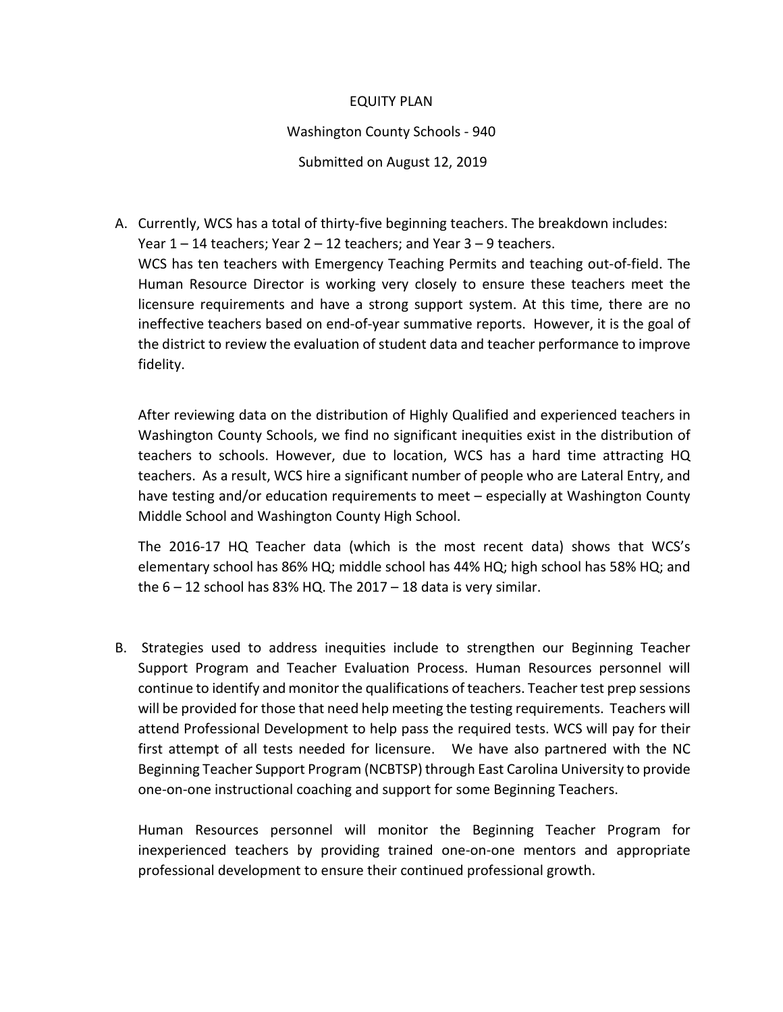## EQUITY PLAN

## Washington County Schools - 940

Submitted on August 12, 2019

A. Currently, WCS has a total of thirty-five beginning teachers. The breakdown includes: Year  $1 - 14$  teachers; Year  $2 - 12$  teachers; and Year  $3 - 9$  teachers. WCS has ten teachers with Emergency Teaching Permits and teaching out-of-field. The Human Resource Director is working very closely to ensure these teachers meet the licensure requirements and have a strong support system. At this time, there are no ineffective teachers based on end-of-year summative reports. However, it is the goal of the district to review the evaluation of student data and teacher performance to improve fidelity.

After reviewing data on the distribution of Highly Qualified and experienced teachers in Washington County Schools, we find no significant inequities exist in the distribution of teachers to schools. However, due to location, WCS has a hard time attracting HQ teachers. As a result, WCS hire a significant number of people who are Lateral Entry, and have testing and/or education requirements to meet – especially at Washington County Middle School and Washington County High School.

The 2016-17 HQ Teacher data (which is the most recent data) shows that WCS's elementary school has 86% HQ; middle school has 44% HQ; high school has 58% HQ; and the  $6 - 12$  school has 83% HQ. The 2017 – 18 data is very similar.

B. Strategies used to address inequities include to strengthen our Beginning Teacher Support Program and Teacher Evaluation Process. Human Resources personnel will continue to identify and monitor the qualifications of teachers. Teacher test prep sessions will be provided for those that need help meeting the testing requirements. Teachers will attend Professional Development to help pass the required tests. WCS will pay for their first attempt of all tests needed for licensure. We have also partnered with the NC Beginning Teacher Support Program (NCBTSP) through East Carolina University to provide one-on-one instructional coaching and support for some Beginning Teachers.

Human Resources personnel will monitor the Beginning Teacher Program for inexperienced teachers by providing trained one-on-one mentors and appropriate professional development to ensure their continued professional growth.